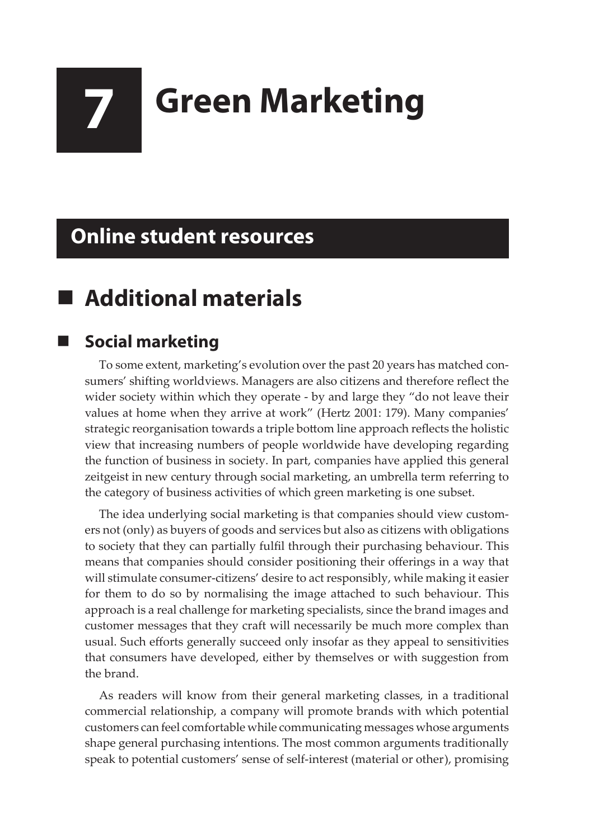# **7 Green Marketing**

### **Online student resources**

# **Additional materials**

#### **Social marketing**

To some extent, marketing's evolution over the past 20 years has matched consumers' shifting worldviews. Managers are also citizens and therefore reflect the wider society within which they operate - by and large they "do not leave their values at home when they arrive at work" (Hertz 2001: 179). Many companies' strategic reorganisation towards a triple bottom line approach reflects the holistic view that increasing numbers of people worldwide have developing regarding the function of business in society. In part, companies have applied this general zeitgeist in new century through social marketing, an umbrella term referring to the category of business activities of which green marketing is one subset.

The idea underlying social marketing is that companies should view customers not (only) as buyers of goods and services but also as citizens with obligations to society that they can partially fulfil through their purchasing behaviour. This means that companies should consider positioning their offerings in a way that will stimulate consumer-citizens' desire to act responsibly, while making it easier for them to do so by normalising the image attached to such behaviour. This approach is a real challenge for marketing specialists, since the brand images and customer messages that they craft will necessarily be much more complex than usual. Such efforts generally succeed only insofar as they appeal to sensitivities that consumers have developed, either by themselves or with suggestion from the brand.

As readers will know from their general marketing classes, in a traditional commercial relationship, a company will promote brands with which potential customers can feel comfortable while communicating messages whose arguments shape general purchasing intentions. The most common arguments traditionally speak to potential customers' sense of self-interest (material or other), promising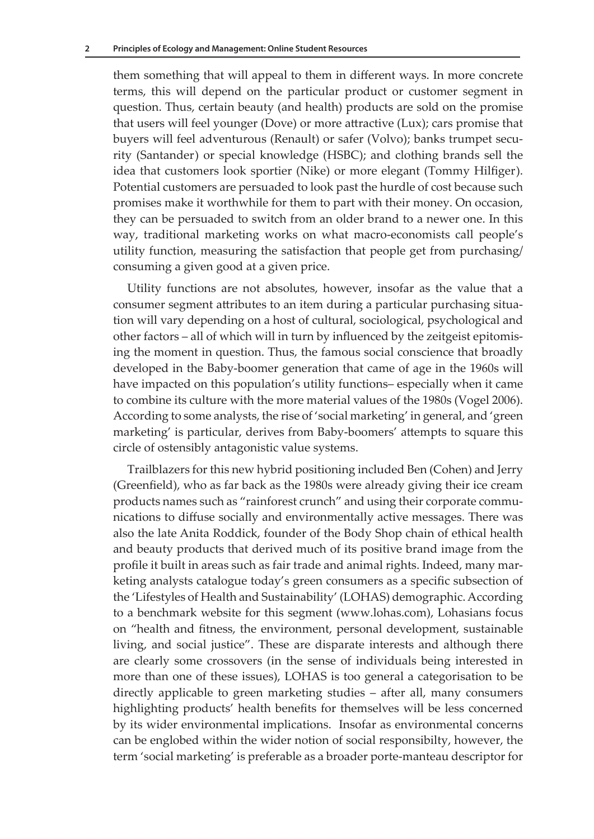them something that will appeal to them in different ways. In more concrete terms, this will depend on the particular product or customer segment in question. Thus, certain beauty (and health) products are sold on the promise that users will feel younger (Dove) or more attractive (Lux); cars promise that buyers will feel adventurous (Renault) or safer (Volvo); banks trumpet security (Santander) or special knowledge (HSBC); and clothing brands sell the idea that customers look sportier (Nike) or more elegant (Tommy Hilfiger). Potential customers are persuaded to look past the hurdle of cost because such promises make it worthwhile for them to part with their money. On occasion, they can be persuaded to switch from an older brand to a newer one. In this way, traditional marketing works on what macro-economists call people's utility function, measuring the satisfaction that people get from purchasing/ consuming a given good at a given price.

Utility functions are not absolutes, however, insofar as the value that a consumer segment attributes to an item during a particular purchasing situation will vary depending on a host of cultural, sociological, psychological and other factors – all of which will in turn by influenced by the zeitgeist epitomising the moment in question. Thus, the famous social conscience that broadly developed in the Baby-boomer generation that came of age in the 1960s will have impacted on this population's utility functions– especially when it came to combine its culture with the more material values of the 1980s (Vogel 2006). According to some analysts, the rise of 'social marketing' in general, and 'green marketing' is particular, derives from Baby-boomers' attempts to square this circle of ostensibly antagonistic value systems.

Trailblazers for this new hybrid positioning included Ben (Cohen) and Jerry (Greenfield), who as far back as the 1980s were already giving their ice cream products names such as "rainforest crunch" and using their corporate communications to diffuse socially and environmentally active messages. There was also the late Anita Roddick, founder of the Body Shop chain of ethical health and beauty products that derived much of its positive brand image from the profile it built in areas such as fair trade and animal rights. Indeed, many marketing analysts catalogue today's green consumers as a specific subsection of the 'Lifestyles of Health and Sustainability' (LOHAS) demographic. According to a benchmark website for this segment (www.lohas.com), Lohasians focus on "health and fitness, the environment, personal development, sustainable living, and social justice". These are disparate interests and although there are clearly some crossovers (in the sense of individuals being interested in more than one of these issues), LOHAS is too general a categorisation to be directly applicable to green marketing studies – after all, many consumers highlighting products' health benefits for themselves will be less concerned by its wider environmental implications. Insofar as environmental concerns can be englobed within the wider notion of social responsibilty, however, the term 'social marketing' is preferable as a broader porte-manteau descriptor for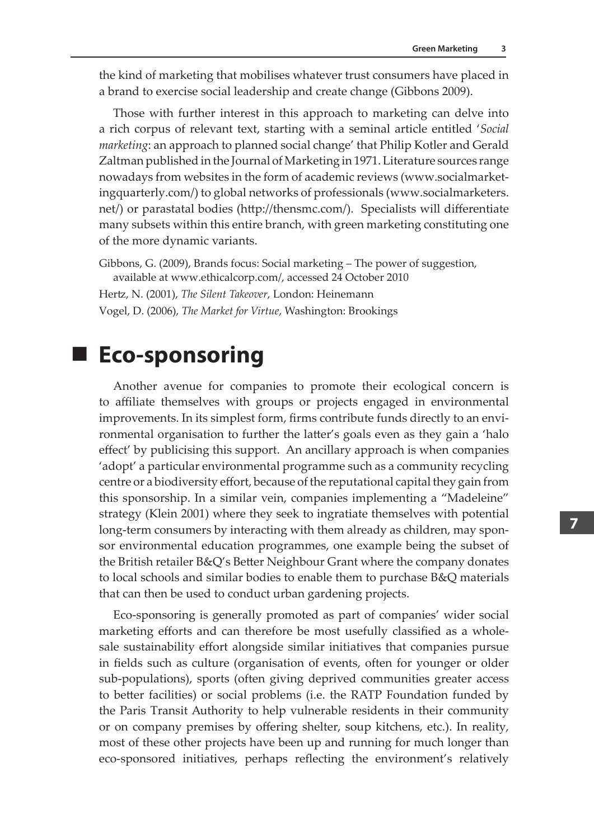the kind of marketing that mobilises whatever trust consumers have placed in a brand to exercise social leadership and create change (Gibbons 2009).

Those with further interest in this approach to marketing can delve into a rich corpus of relevant text, starting with a seminal article entitled '*Social marketing*: an approach to planned social change' that Philip Kotler and Gerald Zaltman published in the Journal of Marketing in 1971. Literature sources range nowadays from websites in the form of academic reviews (www.socialmarketingquarterly.com/) to global networks of professionals (www.socialmarketers. net/) or parastatal bodies (http://thensmc.com/). Specialists will differentiate many subsets within this entire branch, with green marketing constituting one of the more dynamic variants.

Gibbons, G. (2009), Brands focus: Social marketing – The power of suggestion, available at www.ethicalcorp.com/, accessed 24 October 2010 Hertz, N. (2001), *The Silent Takeover*, London: Heinemann Vogel, D. (2006), *The Market for Virtue*, Washington: Brookings

#### **Eco-sponsoring**

Another avenue for companies to promote their ecological concern is to affiliate themselves with groups or projects engaged in environmental improvements. In its simplest form, firms contribute funds directly to an environmental organisation to further the latter's goals even as they gain a 'halo effect' by publicising this support. An ancillary approach is when companies 'adopt' a particular environmental programme such as a community recycling centre or a biodiversity effort, because of the reputational capital they gain from this sponsorship. In a similar vein, companies implementing a "Madeleine" strategy (Klein 2001) where they seek to ingratiate themselves with potential long-term consumers by interacting with them already as children, may sponsor environmental education programmes, one example being the subset of the British retailer B&Q's Better Neighbour Grant where the company donates to local schools and similar bodies to enable them to purchase B&Q materials that can then be used to conduct urban gardening projects.

Eco-sponsoring is generally promoted as part of companies' wider social marketing efforts and can therefore be most usefully classified as a wholesale sustainability effort alongside similar initiatives that companies pursue in fields such as culture (organisation of events, often for younger or older sub-populations), sports (often giving deprived communities greater access to better facilities) or social problems (i.e. the RATP Foundation funded by the Paris Transit Authority to help vulnerable residents in their community or on company premises by offering shelter, soup kitchens, etc.). In reality, most of these other projects have been up and running for much longer than eco-sponsored initiatives, perhaps reflecting the environment's relatively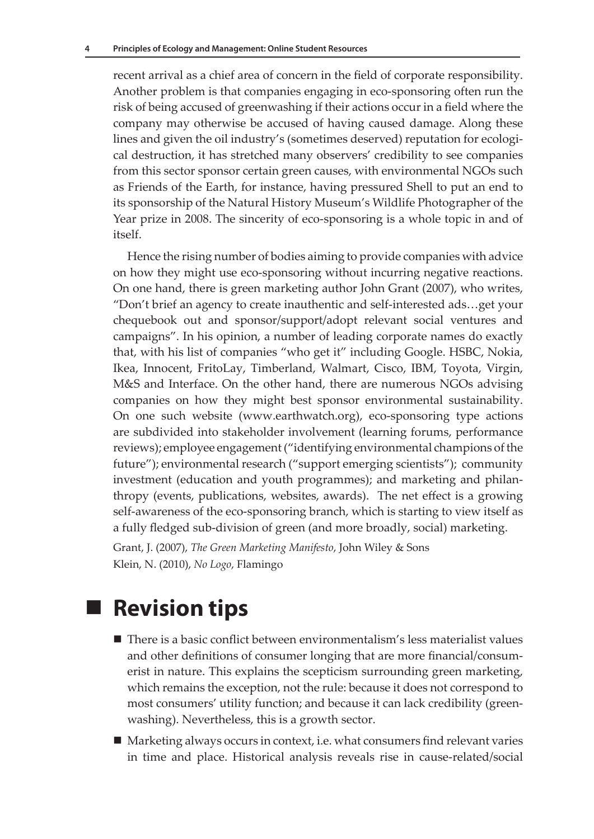recent arrival as a chief area of concern in the field of corporate responsibility. Another problem is that companies engaging in eco-sponsoring often run the risk of being accused of greenwashing if their actions occur in a field where the company may otherwise be accused of having caused damage. Along these lines and given the oil industry's (sometimes deserved) reputation for ecological destruction, it has stretched many observers' credibility to see companies from this sector sponsor certain green causes, with environmental NGOs such as Friends of the Earth, for instance, having pressured Shell to put an end to its sponsorship of the Natural History Museum's Wildlife Photographer of the Year prize in 2008. The sincerity of eco-sponsoring is a whole topic in and of itself.

Hence the rising number of bodies aiming to provide companies with advice on how they might use eco-sponsoring without incurring negative reactions. On one hand, there is green marketing author John Grant (2007), who writes, "Don't brief an agency to create inauthentic and self-interested ads…get your chequebook out and sponsor/support/adopt relevant social ventures and campaigns". In his opinion, a number of leading corporate names do exactly that, with his list of companies "who get it" including Google. HSBC, Nokia, Ikea, Innocent, FritoLay, Timberland, Walmart, Cisco, IBM, Toyota, Virgin, M&S and Interface. On the other hand, there are numerous NGOs advising companies on how they might best sponsor environmental sustainability. On one such website (www.earthwatch.org), eco-sponsoring type actions are subdivided into stakeholder involvement (learning forums, performance reviews); employee engagement ("identifying environmental champions of the future"); environmental research ("support emerging scientists"); community investment (education and youth programmes); and marketing and philanthropy (events, publications, websites, awards). The net effect is a growing self-awareness of the eco-sponsoring branch, which is starting to view itself as a fully fledged sub-division of green (and more broadly, social) marketing.

Grant, J. (2007), *The Green Marketing Manifesto*, John Wiley & Sons Klein, N. (2010), *No Logo*, Flamingo

## ■ Revision tips

- There is a basic conflict between environmentalism's less materialist values and other definitions of consumer longing that are more financial/consumerist in nature. This explains the scepticism surrounding green marketing, which remains the exception, not the rule: because it does not correspond to most consumers' utility function; and because it can lack credibility (greenwashing). Nevertheless, this is a growth sector.
- Marketing always occurs in context, i.e. what consumers find relevant varies in time and place. Historical analysis reveals rise in cause-related/social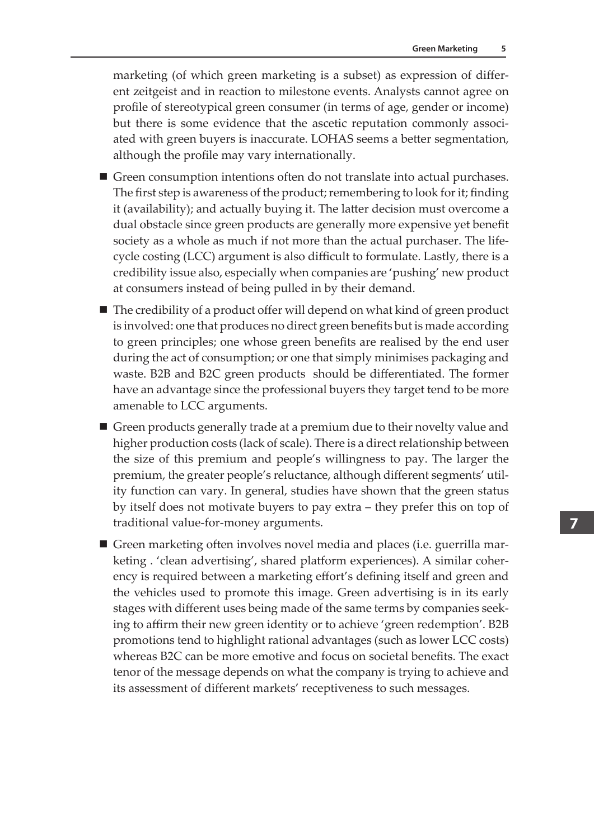marketing (of which green marketing is a subset) as expression of different zeitgeist and in reaction to milestone events. Analysts cannot agree on profile of stereotypical green consumer (in terms of age, gender or income) but there is some evidence that the ascetic reputation commonly associated with green buyers is inaccurate. LOHAS seems a better segmentation, although the profile may vary internationally.

- Green consumption intentions often do not translate into actual purchases. The first step is awareness of the product; remembering to look for it; finding it (availability); and actually buying it. The latter decision must overcome a dual obstacle since green products are generally more expensive yet benefit society as a whole as much if not more than the actual purchaser. The lifecycle costing (LCC) argument is also difficult to formulate. Lastly, there is a credibility issue also, especially when companies are 'pushing' new product at consumers instead of being pulled in by their demand.
- The credibility of a product offer will depend on what kind of green product is involved: one that produces no direct green benefits but is made according to green principles; one whose green benefits are realised by the end user during the act of consumption; or one that simply minimises packaging and waste. B2B and B2C green products should be differentiated. The former have an advantage since the professional buyers they target tend to be more amenable to LCC arguments.
- Green products generally trade at a premium due to their novelty value and higher production costs (lack of scale). There is a direct relationship between the size of this premium and people's willingness to pay. The larger the premium, the greater people's reluctance, although different segments' utility function can vary. In general, studies have shown that the green status by itself does not motivate buyers to pay extra – they prefer this on top of traditional value-for-money arguments.
- Green marketing often involves novel media and places (i.e. guerrilla marketing . 'clean advertising', shared platform experiences). A similar coherency is required between a marketing effort's defining itself and green and the vehicles used to promote this image. Green advertising is in its early stages with different uses being made of the same terms by companies seeking to affirm their new green identity or to achieve 'green redemption'. B2B promotions tend to highlight rational advantages (such as lower LCC costs) whereas B2C can be more emotive and focus on societal benefits. The exact tenor of the message depends on what the company is trying to achieve and its assessment of different markets' receptiveness to such messages.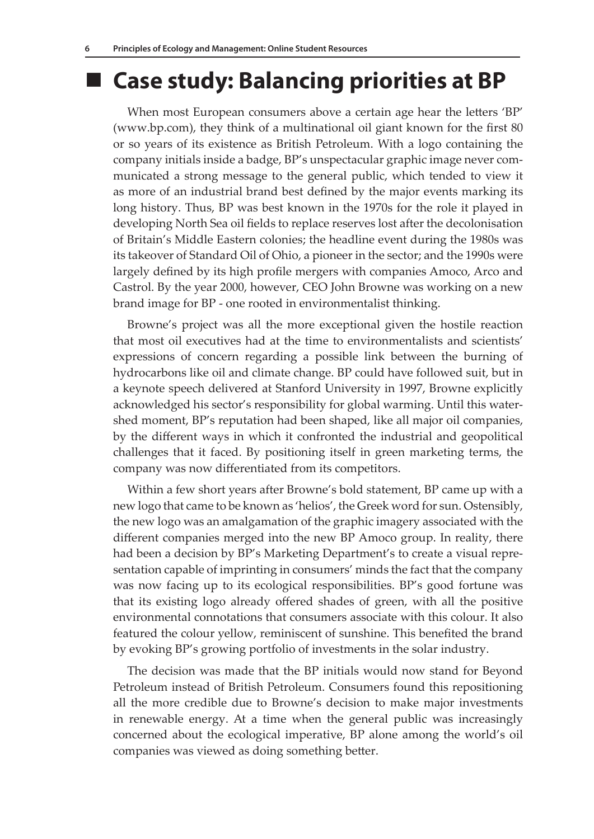## **Case study: Balancing priorities at BP**

When most European consumers above a certain age hear the letters 'BP' (www.bp.com), they think of a multinational oil giant known for the first 80 or so years of its existence as British Petroleum. With a logo containing the company initials inside a badge, BP's unspectacular graphic image never communicated a strong message to the general public, which tended to view it as more of an industrial brand best defined by the major events marking its long history. Thus, BP was best known in the 1970s for the role it played in developing North Sea oil fields to replace reserves lost after the decolonisation of Britain's Middle Eastern colonies; the headline event during the 1980s was its takeover of Standard Oil of Ohio, a pioneer in the sector; and the 1990s were largely defined by its high profile mergers with companies Amoco, Arco and Castrol. By the year 2000, however, CEO John Browne was working on a new brand image for BP - one rooted in environmentalist thinking.

Browne's project was all the more exceptional given the hostile reaction that most oil executives had at the time to environmentalists and scientists' expressions of concern regarding a possible link between the burning of hydrocarbons like oil and climate change. BP could have followed suit, but in a keynote speech delivered at Stanford University in 1997, Browne explicitly acknowledged his sector's responsibility for global warming. Until this watershed moment, BP's reputation had been shaped, like all major oil companies, by the different ways in which it confronted the industrial and geopolitical challenges that it faced. By positioning itself in green marketing terms, the company was now differentiated from its competitors.

Within a few short years after Browne's bold statement, BP came up with a new logo that came to be known as 'helios', the Greek word for sun. Ostensibly, the new logo was an amalgamation of the graphic imagery associated with the different companies merged into the new BP Amoco group. In reality, there had been a decision by BP's Marketing Department's to create a visual representation capable of imprinting in consumers' minds the fact that the company was now facing up to its ecological responsibilities. BP's good fortune was that its existing logo already offered shades of green, with all the positive environmental connotations that consumers associate with this colour. It also featured the colour yellow, reminiscent of sunshine. This benefited the brand by evoking BP's growing portfolio of investments in the solar industry.

The decision was made that the BP initials would now stand for Beyond Petroleum instead of British Petroleum. Consumers found this repositioning all the more credible due to Browne's decision to make major investments in renewable energy. At a time when the general public was increasingly concerned about the ecological imperative, BP alone among the world's oil companies was viewed as doing something better.